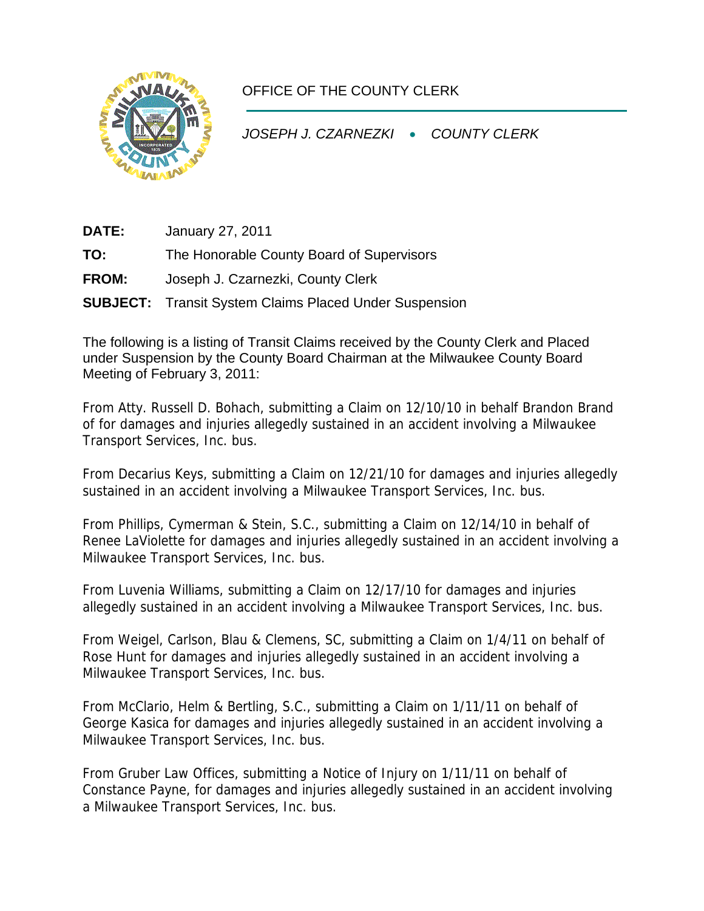

## OFFICE OF THE COUNTY CLERK

*JOSEPH J. CZARNEZKI* • *COUNTY CLERK* 

**DATE:** January 27, 2011

**TO:** The Honorable County Board of Supervisors

**FROM:** Joseph J. Czarnezki, County Clerk

**SUBJECT:** Transit System Claims Placed Under Suspension

The following is a listing of Transit Claims received by the County Clerk and Placed under Suspension by the County Board Chairman at the Milwaukee County Board Meeting of February 3, 2011:

From Atty. Russell D. Bohach, submitting a Claim on 12/10/10 in behalf Brandon Brand of for damages and injuries allegedly sustained in an accident involving a Milwaukee Transport Services, Inc. bus.

From Decarius Keys, submitting a Claim on 12/21/10 for damages and injuries allegedly sustained in an accident involving a Milwaukee Transport Services, Inc. bus.

From Phillips, Cymerman & Stein, S.C., submitting a Claim on 12/14/10 in behalf of Renee LaViolette for damages and injuries allegedly sustained in an accident involving a Milwaukee Transport Services, Inc. bus.

From Luvenia Williams, submitting a Claim on 12/17/10 for damages and injuries allegedly sustained in an accident involving a Milwaukee Transport Services, Inc. bus.

From Weigel, Carlson, Blau & Clemens, SC, submitting a Claim on 1/4/11 on behalf of Rose Hunt for damages and injuries allegedly sustained in an accident involving a Milwaukee Transport Services, Inc. bus.

From McClario, Helm & Bertling, S.C., submitting a Claim on 1/11/11 on behalf of George Kasica for damages and injuries allegedly sustained in an accident involving a Milwaukee Transport Services, Inc. bus.

From Gruber Law Offices, submitting a Notice of Injury on 1/11/11 on behalf of Constance Payne, for damages and injuries allegedly sustained in an accident involving a Milwaukee Transport Services, Inc. bus.